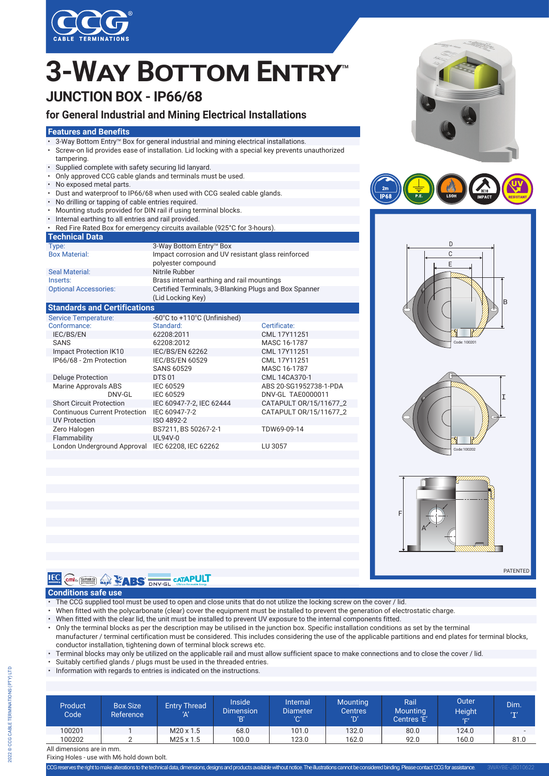

# **JUNCTION BOX - IP66/68 3-WAY BOTTOM ENTRY**

### **for General Industrial and Mining Electrical Installations**

#### **Features and Benefits**

- 8-Way Bottom Entry™ Box for general industrial and mining electrical installations.
- Screw-on lid provides ease of installation. Lid locking with a special key prevents unauthorized tampering.
- Supplied complete with safety securing lid lanyard.
- Only approved CCG cable glands and terminals must be used.
- No exposed metal parts.
- Dust and waterproof to IP66/68 when used with CCG sealed cable glands.
- No drilling or tapping of cable entries required.
- Mounting studs provided for DIN rail if using terminal blocks.
- Internal earthing to all entries and rail provided.

| • Red Fire Rated Box for emergency circuits available (925°C for 3-hours). |                                                                            |  |  |
|----------------------------------------------------------------------------|----------------------------------------------------------------------------|--|--|
| <b>Technical Data</b>                                                      |                                                                            |  |  |
| Type:                                                                      | 3-Way Bottom Entry™ Box                                                    |  |  |
| <b>Box Material:</b>                                                       | Impact corrosion and UV resistant glass reinforced<br>polyester compound   |  |  |
| <b>Seal Material:</b>                                                      | Nitrile Rubber                                                             |  |  |
| Inserts:                                                                   | Brass internal earthing and rail mountings                                 |  |  |
| <b>Optional Accessories:</b>                                               | Certified Terminals, 3-Blanking Plugs and Box Spanner<br>(Lid Locking Key) |  |  |
| <b>All Contracts</b><br>. .                                                |                                                                            |  |  |

#### **Standards and Certifications**

| <b>Service Temperature:</b>          | -60°C to +110°C (Unfinished) |                        |
|--------------------------------------|------------------------------|------------------------|
| Conformance:                         | Standard:                    | Certificate:           |
| <b>IEC/BS/EN</b>                     | 62208:2011                   | CML 17Y11251           |
| <b>SANS</b>                          | 62208:2012                   | MASC 16-1787           |
| Impact Protection IK10               | <b>IEC/BS/EN 62262</b>       | CML 17Y11251           |
| IP66/68 - 2m Protection              | <b>IEC/BS/EN 60529</b>       | CML 17Y11251           |
|                                      | <b>SANS 60529</b>            | MASC 16-1787           |
| <b>Deluge Protection</b>             | <b>DTS 01</b>                | CML 14CA370-1          |
| <b>Marine Approvals ABS</b>          | IEC 60529                    | ABS 20-SG1952738-1-PDA |
| DNV-GL                               | IEC 60529                    | DNV-GL TAE0000011      |
| <b>Short Circuit Protection</b>      | IEC 60947-7-2. IEC 62444     | CATAPULT 0R/15/11677 2 |
| <b>Continuous Current Protection</b> | IEC 60947-7-2                | CATAPULT 0R/15/11677 2 |
| <b>UV Protection</b>                 | ISO 4892-2                   |                        |
| Zero Halogen                         | BS7211, BS 50267-2-1         | TDW69-09-14            |
| Flammability                         | UL94V-0                      |                        |
| London Underground Approval          | IEC 62208. IEC 62262         | LU 3057                |











PATENTED



#### **Conditions safe use**

- The CCG supplied tool must be used to open and close units that do not utilize the locking screw on the cover / lid.
- When fitted with the polycarbonate (clear) cover the equipment must be installed to prevent the generation of electrostatic charge.
- When fitted with the clear lid, the unit must be installed to prevent UV exposure to the internal components fitted.
- Only the terminal blocks as per the description may be utilised in the junction box. Specific installation conditions as set by the terminal manufacturer / terminal certification must be considered. This includes considering the use of the applicable partitions and end plates for terminal blocks, conductor installation, tightening down of terminal block screws etc.
- Terminal blocks may only be utilized on the applicable rail and must allow sufficient space to make connections and to close the cover / lid.
- Suitably certified glands / plugs must be used in the threaded entries.
- Information with regards to entries is indicated on the instructions.

| Product<br>Code           | <b>Box Size</b><br>Reference | <b>Entry Thread</b><br>'Α' | <b>Inside</b><br><b>Dimension</b><br>'B' | Internal<br><b>Diameter</b><br>'C' | <b>Mounting</b><br><b>Centres</b><br>'D' | Rail <sup>'</sup><br><b>Mounting</b><br>Centres 'E' | Outer<br><b>Height</b><br>'F' | Dim.<br>T                |
|---------------------------|------------------------------|----------------------------|------------------------------------------|------------------------------------|------------------------------------------|-----------------------------------------------------|-------------------------------|--------------------------|
| 100201                    |                              | $M20 \times 1.5$           | 68.0                                     | 101.0                              | 132.0                                    | 80.0                                                | 124.0                         | $\overline{\phantom{a}}$ |
| 100202                    |                              | $M25 \times 1.5$           | 100.0                                    | 123.0                              | 162.0                                    | 92.0                                                | 160.0                         | 81.0                     |
| All dimensions are in mm. |                              |                            |                                          |                                    |                                          |                                                     |                               |                          |

Fixing Holes - use with M6 hold down bolt.